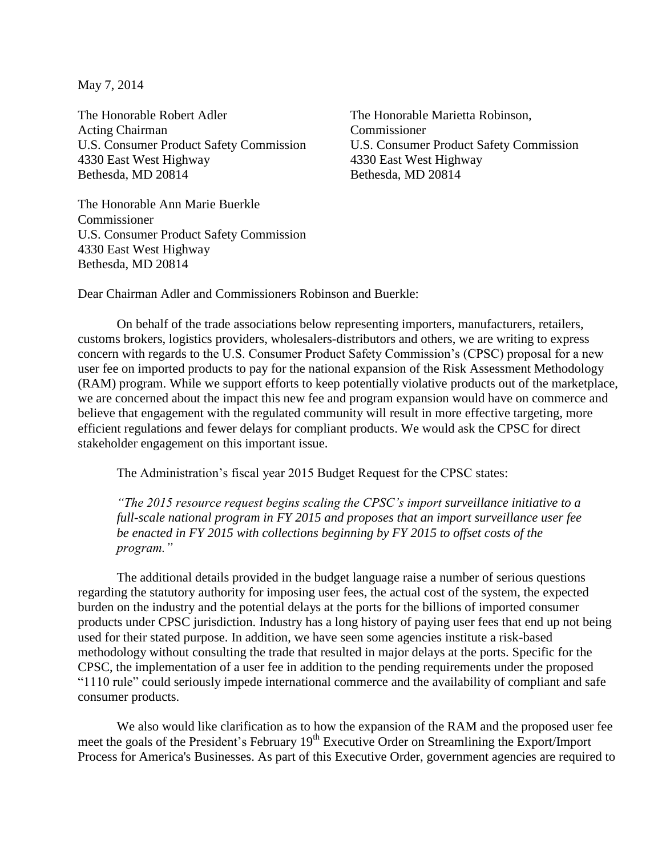May 7, 2014

The Honorable Robert Adler The Honorable Marietta Robinson, Acting Chairman Commissioner U.S. Consumer Product Safety Commission U.S. Consumer Product Safety Commission 4330 East West Highway 4330 East West Highway Bethesda, MD 20814 Bethesda, MD 20814

The Honorable Ann Marie Buerkle Commissioner U.S. Consumer Product Safety Commission 4330 East West Highway Bethesda, MD 20814

Dear Chairman Adler and Commissioners Robinson and Buerkle:

On behalf of the trade associations below representing importers, manufacturers, retailers, customs brokers, logistics providers, wholesalers-distributors and others, we are writing to express concern with regards to the U.S. Consumer Product Safety Commission's (CPSC) proposal for a new user fee on imported products to pay for the national expansion of the Risk Assessment Methodology (RAM) program. While we support efforts to keep potentially violative products out of the marketplace, we are concerned about the impact this new fee and program expansion would have on commerce and believe that engagement with the regulated community will result in more effective targeting, more efficient regulations and fewer delays for compliant products. We would ask the CPSC for direct stakeholder engagement on this important issue.

The Administration's fiscal year 2015 Budget Request for the CPSC states:

*"The 2015 resource request begins scaling the CPSC's import surveillance initiative to a full-scale national program in FY 2015 and proposes that an import surveillance user fee be enacted in FY 2015 with collections beginning by FY 2015 to offset costs of the program."*

The additional details provided in the budget language raise a number of serious questions regarding the statutory authority for imposing user fees, the actual cost of the system, the expected burden on the industry and the potential delays at the ports for the billions of imported consumer products under CPSC jurisdiction. Industry has a long history of paying user fees that end up not being used for their stated purpose. In addition, we have seen some agencies institute a risk-based methodology without consulting the trade that resulted in major delays at the ports. Specific for the CPSC, the implementation of a user fee in addition to the pending requirements under the proposed "1110 rule" could seriously impede international commerce and the availability of compliant and safe consumer products.

We also would like clarification as to how the expansion of the RAM and the proposed user fee meet the goals of the President's February 19<sup>th</sup> Executive Order on Streamlining the Export/Import Process for America's Businesses. As part of this Executive Order, government agencies are required to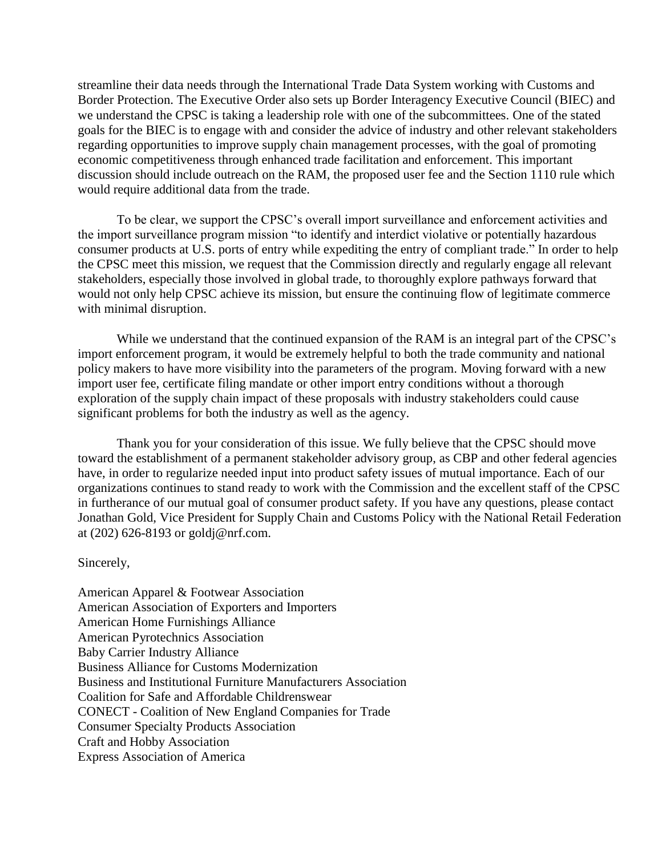streamline their data needs through the International Trade Data System working with Customs and Border Protection. The Executive Order also sets up Border Interagency Executive Council (BIEC) and we understand the CPSC is taking a leadership role with one of the subcommittees. One of the stated goals for the BIEC is to engage with and consider the advice of industry and other relevant stakeholders regarding opportunities to improve supply chain management processes, with the goal of promoting economic competitiveness through enhanced trade facilitation and enforcement. This important discussion should include outreach on the RAM, the proposed user fee and the Section 1110 rule which would require additional data from the trade.

To be clear, we support the CPSC's overall import surveillance and enforcement activities and the import surveillance program mission "to identify and interdict violative or potentially hazardous consumer products at U.S. ports of entry while expediting the entry of compliant trade." In order to help the CPSC meet this mission, we request that the Commission directly and regularly engage all relevant stakeholders, especially those involved in global trade, to thoroughly explore pathways forward that would not only help CPSC achieve its mission, but ensure the continuing flow of legitimate commerce with minimal disruption.

While we understand that the continued expansion of the RAM is an integral part of the CPSC's import enforcement program, it would be extremely helpful to both the trade community and national policy makers to have more visibility into the parameters of the program. Moving forward with a new import user fee, certificate filing mandate or other import entry conditions without a thorough exploration of the supply chain impact of these proposals with industry stakeholders could cause significant problems for both the industry as well as the agency.

Thank you for your consideration of this issue. We fully believe that the CPSC should move toward the establishment of a permanent stakeholder advisory group, as CBP and other federal agencies have, in order to regularize needed input into product safety issues of mutual importance. Each of our organizations continues to stand ready to work with the Commission and the excellent staff of the CPSC in furtherance of our mutual goal of consumer product safety. If you have any questions, please contact Jonathan Gold, Vice President for Supply Chain and Customs Policy with the National Retail Federation at (202) 626-8193 or goldj@nrf.com.

## Sincerely,

American Apparel & Footwear Association American Association of Exporters and Importers American Home Furnishings Alliance American Pyrotechnics Association Baby Carrier Industry Alliance Business Alliance for Customs Modernization Business and Institutional Furniture Manufacturers Association Coalition for Safe and Affordable Childrenswear CONECT - Coalition of New England Companies for Trade Consumer Specialty Products Association Craft and Hobby Association Express Association of America